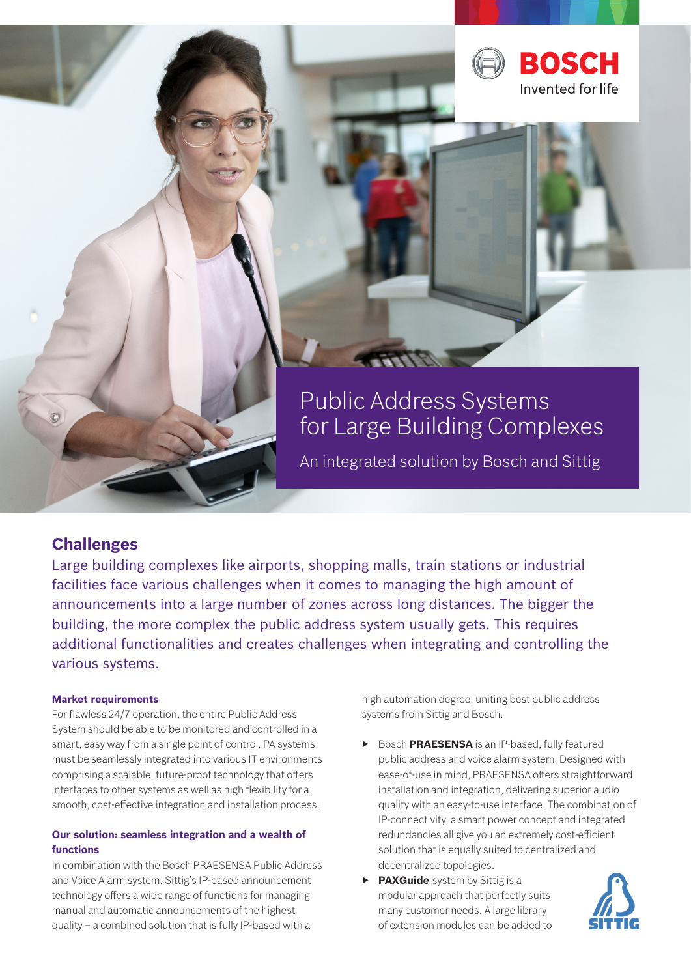

# Public Address Systems for Large Building Complexes

An integrated solution by Bosch and Sittig

# **Challenges**

Large building complexes like airports, shopping malls, train stations or industrial facilities face various challenges when it comes to managing the high amount of announcements into a large number of zones across long distances. The bigger the building, the more complex the public address system usually gets. This requires additional functionalities and creates challenges when integrating and controlling the various systems.

## **Market requirements**

For flawless 24/7 operation, the entire Public Address System should be able to be monitored and controlled in a smart, easy way from a single point of control. PA systems must be seamlessly integrated into various IT environments comprising a scalable, future-proof technology that offers interfaces to other systems as well as high flexibility for a smooth, cost-effective integration and installation process.

# **Our solution: seamless integration and a wealth of functions**

In combination with the Bosch PRAESENSA Public Address and Voice Alarm system, Sittig's IP-based announcement technology offers a wide range of functions for managing manual and automatic announcements of the highest quality – a combined solution that is fully IP-based with a

high automation degree, uniting best public address systems from Sittig and Bosch.

- ▶ Bosch **PRAESENSA** is an IP-based, fully featured public address and voice alarm system. Designed with ease-of-use in mind, PRAESENSA offers straightforward installation and integration, delivering superior audio quality with an easy-to-use interface. The combination of IP-connectivity, a smart power concept and integrated redundancies all give you an extremely cost-efficient solution that is equally suited to centralized and decentralized topologies.
- ▶ **PAXGuide** system by Sittig is a modular approach that perfectly suits many customer needs. A large library of extension modules can be added to